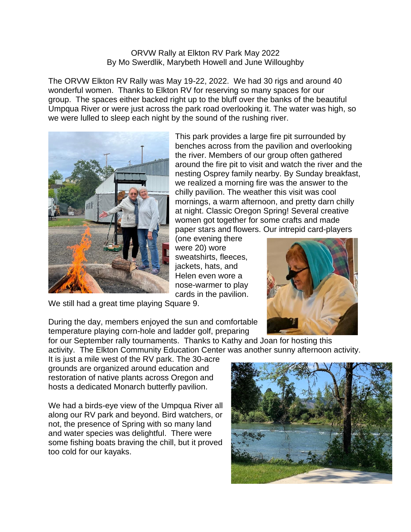## ORVW Rally at Elkton RV Park May 2022 By Mo Swerdlik, Marybeth Howell and June Willoughby

The ORVW Elkton RV Rally was May 19-22, 2022. We had 30 rigs and around 40 wonderful women. Thanks to Elkton RV for reserving so many spaces for our group. The spaces either backed right up to the bluff over the banks of the beautiful Umpqua River or were just across the park road overlooking it. The water was high, so we were lulled to sleep each night by the sound of the rushing river.



This park provides a large fire pit surrounded by benches across from the pavilion and overlooking the river. Members of our group often gathered around the fire pit to visit and watch the river and the nesting Osprey family nearby. By Sunday breakfast, we realized a morning fire was the answer to the chilly pavilion. The weather this visit was cool mornings, a warm afternoon, and pretty darn chilly at night. Classic Oregon Spring! Several creative women got together for some crafts and made paper stars and flowers. Our intrepid card-players

(one evening there were 20) wore sweatshirts, fleeces, jackets, hats, and Helen even wore a nose-warmer to play cards in the pavilion.



We still had a great time playing Square 9.

During the day, members enjoyed the sun and comfortable temperature playing corn-hole and ladder golf, preparing

for our September rally tournaments. Thanks to Kathy and Joan for hosting this activity. The Elkton Community Education Center was another sunny afternoon activity.

It is just a mile west of the RV park. The 30-acre grounds are organized around education and restoration of native plants across Oregon and hosts a dedicated Monarch butterfly pavilion.

We had a birds-eye view of the Umpqua River all along our RV park and beyond. Bird watchers, or not, the presence of Spring with so many land and water species was delightful. There were some fishing boats braving the chill, but it proved too cold for our kayaks.

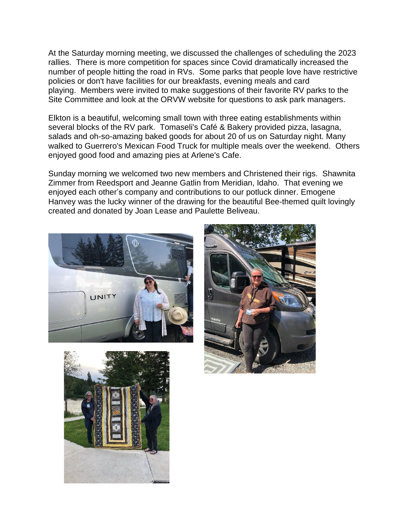At the Saturday morning meeting, we discussed the challenges of scheduling the 2023 rallies. There is more competition for spaces since Covid dramatically increased the number of people hitting the road in RVs. Some parks that people love have restrictive policies or don't have facilities for our breakfasts, evening meals and card playing. Members were invited to make suggestions of their favorite RV parks to the Site Committee and look at the ORVW website for questions to ask park managers.

Elkton is a beautiful, welcoming small town with three eating establishments within several blocks of the RV park. Tomaseli's Café & Bakery provided pizza, lasagna, salads and oh-so-amazing baked goods for about 20 of us on Saturday night. Many walked to Guerrero's Mexican Food Truck for multiple meals over the weekend. Others enjoyed good food and amazing pies at Arlene's Cafe.

Sunday morning we welcomed two new members and Christened their rigs. Shawnita Zimmer from Reedsport and Jeanne Gatlin from Meridian, Idaho. That evening we enjoyed each other's company and contributions to our potluck dinner. Emogene Hanvey was the lucky winner of the drawing for the beautiful Bee-themed quilt lovingly created and donated by Joan Lease and Paulette Beliveau.